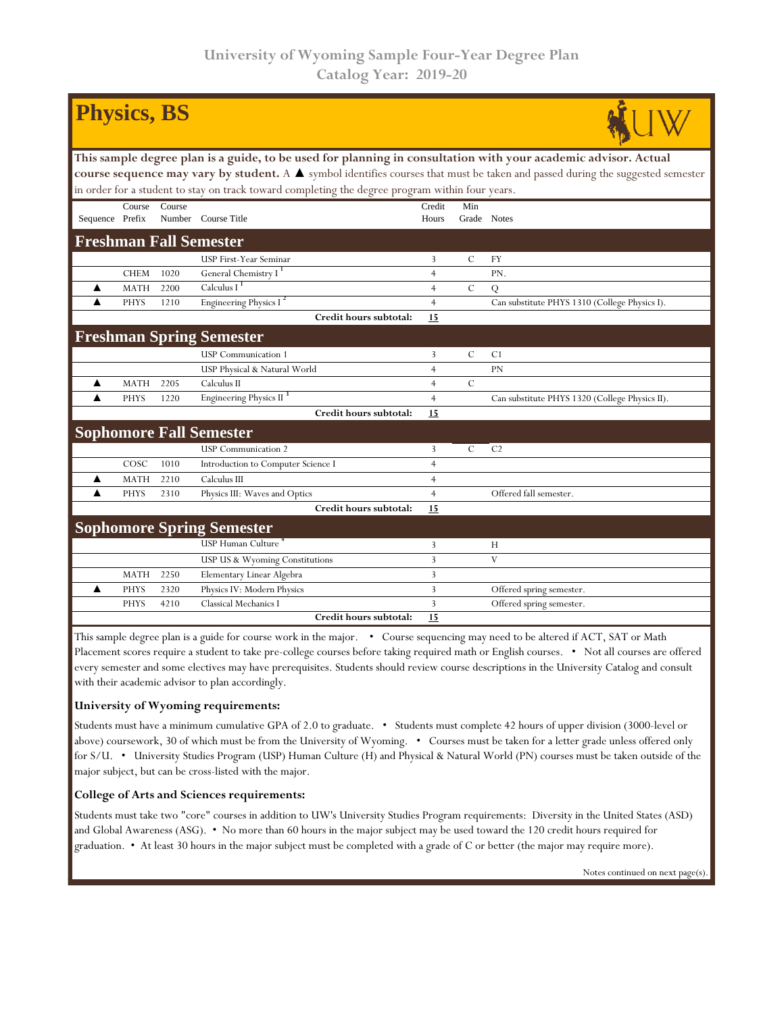| <b>Physics, BS</b>                                                                                                             |             |        |                                     |                |               |                                                |  |  |  |  |
|--------------------------------------------------------------------------------------------------------------------------------|-------------|--------|-------------------------------------|----------------|---------------|------------------------------------------------|--|--|--|--|
| This sample degree plan is a guide, to be used for planning in consultation with your academic advisor. Actual                 |             |        |                                     |                |               |                                                |  |  |  |  |
| course sequence may vary by student. A ▲ symbol identifies courses that must be taken and passed during the suggested semester |             |        |                                     |                |               |                                                |  |  |  |  |
| in order for a student to stay on track toward completing the degree program within four years.                                |             |        |                                     |                |               |                                                |  |  |  |  |
|                                                                                                                                | Course      | Course |                                     | Credit         | Min           |                                                |  |  |  |  |
| Sequence Prefix                                                                                                                |             |        | Number Course Title                 | Hours          | Grade Notes   |                                                |  |  |  |  |
| <b>Freshman Fall Semester</b>                                                                                                  |             |        |                                     |                |               |                                                |  |  |  |  |
|                                                                                                                                |             |        | USP First-Year Seminar              | 3              | $\mathcal{C}$ | <b>FY</b>                                      |  |  |  |  |
|                                                                                                                                | <b>CHEM</b> | 1020   | General Chemistry I <sup>1</sup>    | $\overline{4}$ |               | PN.                                            |  |  |  |  |
| ▲                                                                                                                              | <b>MATH</b> | 2200   | Calculus $I^1$                      | $\overline{4}$ | $\mathcal{C}$ | Q                                              |  |  |  |  |
|                                                                                                                                | <b>PHYS</b> | 1210   | Engineering Physics I <sup>2</sup>  | $\overline{4}$ |               | Can substitute PHYS 1310 (College Physics I).  |  |  |  |  |
|                                                                                                                                |             |        | Credit hours subtotal:              | 15             |               |                                                |  |  |  |  |
| <b>Freshman Spring Semester</b>                                                                                                |             |        |                                     |                |               |                                                |  |  |  |  |
|                                                                                                                                |             |        | <b>USP</b> Communication 1          | 3              | $\mathcal{C}$ | C <sub>1</sub>                                 |  |  |  |  |
|                                                                                                                                |             |        | USP Physical & Natural World        | $\overline{4}$ |               | <b>PN</b>                                      |  |  |  |  |
| ▲                                                                                                                              | <b>MATH</b> | 2205   | Calculus II                         | 4              | $\mathcal{C}$ |                                                |  |  |  |  |
| ▲                                                                                                                              | <b>PHYS</b> | 1220   | Engineering Physics II <sup>3</sup> | $\overline{4}$ |               | Can substitute PHYS 1320 (College Physics II). |  |  |  |  |
|                                                                                                                                |             |        | Credit hours subtotal:              | 15             |               |                                                |  |  |  |  |
| <b>Sophomore Fall Semester</b>                                                                                                 |             |        |                                     |                |               |                                                |  |  |  |  |
|                                                                                                                                |             |        | <b>USP</b> Communication 2          | 3              | $\mathcal{C}$ | C <sub>2</sub>                                 |  |  |  |  |
|                                                                                                                                | COSC        | 1010   | Introduction to Computer Science I  | $\overline{4}$ |               |                                                |  |  |  |  |
| ▲                                                                                                                              | <b>MATH</b> | 2210   | Calculus III                        | $\overline{4}$ |               |                                                |  |  |  |  |
| ▲                                                                                                                              | <b>PHYS</b> | 2310   | Physics III: Waves and Optics       | $\overline{4}$ |               | Offered fall semester.                         |  |  |  |  |
|                                                                                                                                |             |        | Credit hours subtotal:              | 15             |               |                                                |  |  |  |  |
| <b>Sophomore Spring Semester</b>                                                                                               |             |        |                                     |                |               |                                                |  |  |  |  |
|                                                                                                                                |             |        | USP Human Culture <sup>4</sup>      | 3              |               | H                                              |  |  |  |  |
|                                                                                                                                |             |        | USP US & Wyoming Constitutions      | 3              |               | V                                              |  |  |  |  |
|                                                                                                                                | <b>MATH</b> | 2250   | Elementary Linear Algebra           | 3              |               |                                                |  |  |  |  |
| ▲                                                                                                                              | <b>PHYS</b> | 2320   | Physics IV: Modern Physics          | 3              |               | Offered spring semester.                       |  |  |  |  |
|                                                                                                                                | <b>PHYS</b> | 4210   | Classical Mechanics I               | 3              |               | Offered spring semester.                       |  |  |  |  |
|                                                                                                                                |             |        | Credit hours subtotal:              | 15             |               |                                                |  |  |  |  |

This sample degree plan is a guide for course work in the major. • Course sequencing may need to be altered if ACT, SAT or Math Placement scores require a student to take pre-college courses before taking required math or English courses. • Not all courses are offered every semester and some electives may have prerequisites. Students should review course descriptions in the University Catalog and consult with their academic advisor to plan accordingly.

## **University of Wyoming requirements:**

Students must have a minimum cumulative GPA of 2.0 to graduate. • Students must complete 42 hours of upper division (3000-level or above) coursework, 30 of which must be from the University of Wyoming. • Courses must be taken for a letter grade unless offered only for S/U. • University Studies Program (USP) Human Culture (H) and Physical & Natural World (PN) courses must be taken outside of the major subject, but can be cross-listed with the major.

## **College of Arts and Sciences requirements:**

Students must take two "core" courses in addition to UW's University Studies Program requirements: Diversity in the United States (ASD) and Global Awareness (ASG). • No more than 60 hours in the major subject may be used toward the 120 credit hours required for graduation. • At least 30 hours in the major subject must be completed with a grade of C or better (the major may require more).

Notes continued on next page(s).